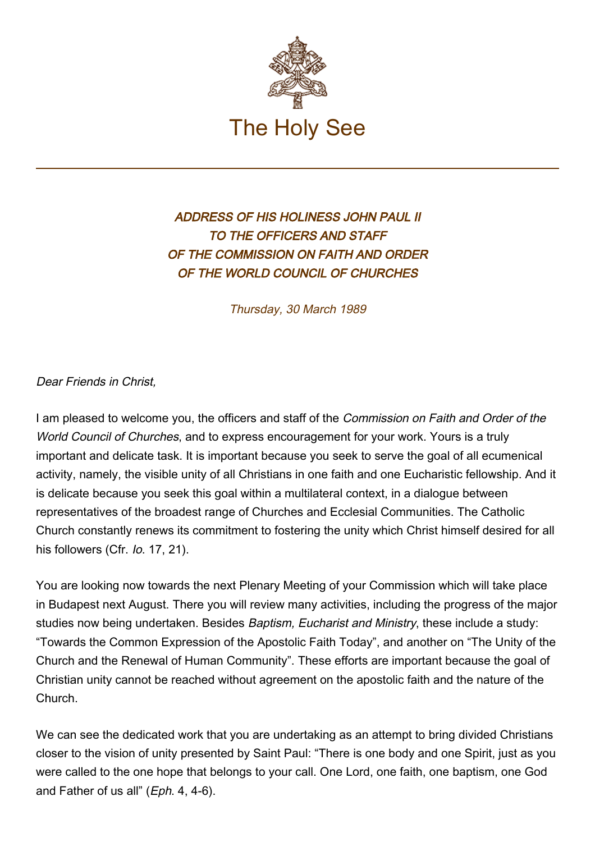

## ADDRESS OF HIS HOLINESS JOHN PAUL II TO THE OFFICERS AND STAFF OF THE COMMISSION ON FAITH AND ORDER OF THE WORLD COUNCIL OF CHURCHES

Thursday, 30 March 1989

Dear Friends in Christ,

I am pleased to welcome you, the officers and staff of the Commission on Faith and Order of the World Council of Churches, and to express encouragement for your work. Yours is a truly important and delicate task. It is important because you seek to serve the goal of all ecumenical activity, namely, the visible unity of all Christians in one faith and one Eucharistic fellowship. And it is delicate because you seek this goal within a multilateral context, in a dialogue between representatives of the broadest range of Churches and Ecclesial Communities. The Catholic Church constantly renews its commitment to fostering the unity which Christ himself desired for all his followers (Cfr. *lo.* 17, 21).

You are looking now towards the next Plenary Meeting of your Commission which will take place in Budapest next August. There you will review many activities, including the progress of the major studies now being undertaken. Besides Baptism, Eucharist and Ministry, these include a study: "Towards the Common Expression of the Apostolic Faith Today", and another on "The Unity of the Church and the Renewal of Human Community". These efforts are important because the goal of Christian unity cannot be reached without agreement on the apostolic faith and the nature of the Church.

We can see the dedicated work that you are undertaking as an attempt to bring divided Christians closer to the vision of unity presented by Saint Paul: "There is one body and one Spirit, just as you were called to the one hope that belongs to your call. One Lord, one faith, one baptism, one God and Father of us all" (Eph. 4, 4-6).